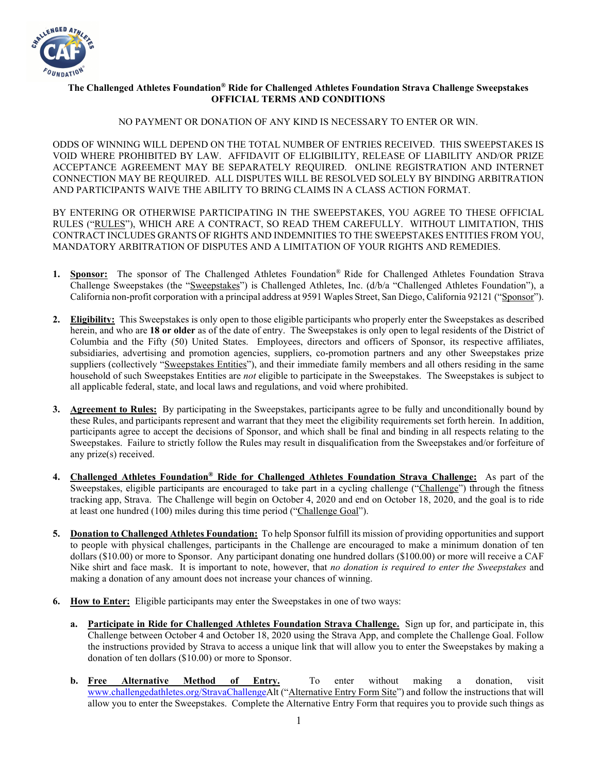

## **The Challenged Athletes Foundation® Ride for Challenged Athletes Foundation Strava Challenge Sweepstakes OFFICIAL TERMS AND CONDITIONS**

## NO PAYMENT OR DONATION OF ANY KIND IS NECESSARY TO ENTER OR WIN.

ODDS OF WINNING WILL DEPEND ON THE TOTAL NUMBER OF ENTRIES RECEIVED. THIS SWEEPSTAKES IS VOID WHERE PROHIBITED BY LAW. AFFIDAVIT OF ELIGIBILITY, RELEASE OF LIABILITY AND/OR PRIZE ACCEPTANCE AGREEMENT MAY BE SEPARATELY REQUIRED. ONLINE REGISTRATION AND INTERNET CONNECTION MAY BE REQUIRED. ALL DISPUTES WILL BE RESOLVED SOLELY BY BINDING ARBITRATION AND PARTICIPANTS WAIVE THE ABILITY TO BRING CLAIMS IN A CLASS ACTION FORMAT.

BY ENTERING OR OTHERWISE PARTICIPATING IN THE SWEEPSTAKES, YOU AGREE TO THESE OFFICIAL RULES ("RULES"), WHICH ARE A CONTRACT, SO READ THEM CAREFULLY. WITHOUT LIMITATION, THIS CONTRACT INCLUDES GRANTS OF RIGHTS AND INDEMNITIES TO THE SWEEPSTAKES ENTITIES FROM YOU, MANDATORY ARBITRATION OF DISPUTES AND A LIMITATION OF YOUR RIGHTS AND REMEDIES.

- **1. Sponsor:** The sponsor of The Challenged Athletes Foundation® Ride for Challenged Athletes Foundation Strava Challenge Sweepstakes (the "Sweepstakes") is Challenged Athletes, Inc. (d/b/a "Challenged Athletes Foundation"), a California non-profit corporation with a principal address at 9591 Waples Street, San Diego, California 92121 ("Sponsor").
- **2. Eligibility:** This Sweepstakes is only open to those eligible participants who properly enter the Sweepstakes as described herein, and who are **18 or older** as of the date of entry. The Sweepstakes is only open to legal residents of the District of Columbia and the Fifty (50) United States. Employees, directors and officers of Sponsor, its respective affiliates, subsidiaries, advertising and promotion agencies, suppliers, co-promotion partners and any other Sweepstakes prize suppliers (collectively "Sweepstakes Entities"), and their immediate family members and all others residing in the same household of such Sweepstakes Entities are *not* eligible to participate in the Sweepstakes. The Sweepstakes is subject to all applicable federal, state, and local laws and regulations, and void where prohibited.
- **3. Agreement to Rules:** By participating in the Sweepstakes, participants agree to be fully and unconditionally bound by these Rules, and participants represent and warrant that they meet the eligibility requirements set forth herein. In addition, participants agree to accept the decisions of Sponsor, and which shall be final and binding in all respects relating to the Sweepstakes. Failure to strictly follow the Rules may result in disqualification from the Sweepstakes and/or forfeiture of any prize(s) received.
- **4. Challenged Athletes Foundation® Ride for Challenged Athletes Foundation Strava Challenge:** As part of the Sweepstakes, eligible participants are encouraged to take part in a cycling challenge ("Challenge") through the fitness tracking app, Strava. The Challenge will begin on October 4, 2020 and end on October 18, 2020, and the goal is to ride at least one hundred (100) miles during this time period ("Challenge Goal").
- **5. Donation to Challenged Athletes Foundation:** To help Sponsor fulfill its mission of providing opportunities and support to people with physical challenges, participants in the Challenge are encouraged to make a minimum donation of ten dollars (\$10.00) or more to Sponsor. Any participant donating one hundred dollars (\$100.00) or more will receive a CAF Nike shirt and face mask. It is important to note, however, that *no donation is required to enter the Sweepstakes* and making a donation of any amount does not increase your chances of winning.
- **6. How to Enter:** Eligible participants may enter the Sweepstakes in one of two ways:
	- **a. Participate in Ride for Challenged Athletes Foundation Strava Challenge.** Sign up for, and participate in, this Challenge between October 4 and October 18, 2020 using the Strava App, and complete the Challenge Goal. Follow the instructions provided by Strava to access a unique link that will allow you to enter the Sweepstakes by making a donation of ten dollars (\$10.00) or more to Sponsor.
	- **b. Free Alternative Method of Entry.** To enter without making a donation, visit [www.challengedathletes.org/StravaChallengeA](http://www.challengedathletes.org/StravaChallenge)lt ("Alternative Entry Form Site") and follow the instructions that will allow you to enter the Sweepstakes. Complete the Alternative Entry Form that requires you to provide such things as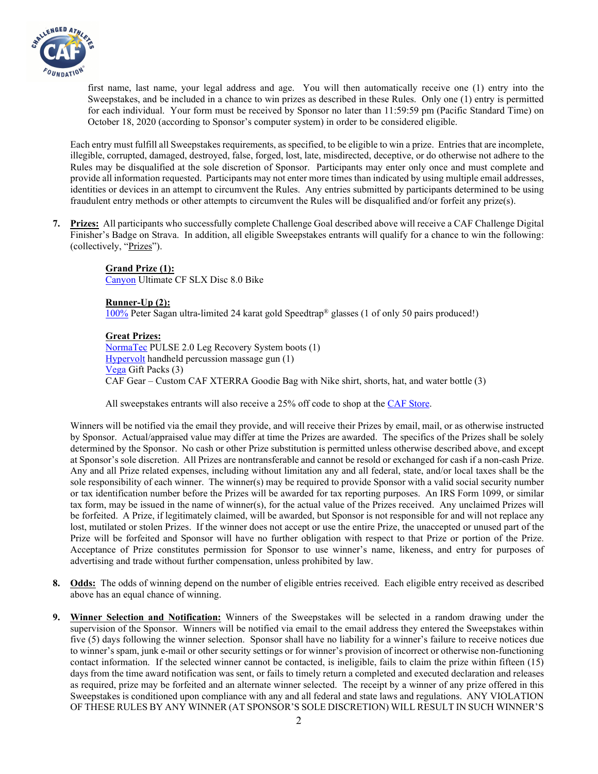

first name, last name, your legal address and age. You will then automatically receive one (1) entry into the Sweepstakes, and be included in a chance to win prizes as described in these Rules. Only one (1) entry is permitted for each individual. Your form must be received by Sponsor no later than 11:59:59 pm (Pacific Standard Time) on October 18, 2020 (according to Sponsor's computer system) in order to be considered eligible.

Each entry must fulfill all Sweepstakes requirements, as specified, to be eligible to win a prize. Entries that are incomplete, illegible, corrupted, damaged, destroyed, false, forged, lost, late, misdirected, deceptive, or do otherwise not adhere to the Rules may be disqualified at the sole discretion of Sponsor. Participants may enter only once and must complete and provide all information requested. Participants may not enter more times than indicated by using multiple email addresses, identities or devices in an attempt to circumvent the Rules. Any entries submitted by participants determined to be using fraudulent entry methods or other attempts to circumvent the Rules will be disqualified and/or forfeit any prize(s).

**7. Prizes:** All participants who successfully complete Challenge Goal described above will receive a CAF Challenge Digital Finisher's Badge on Strava. In addition, all eligible Sweepstakes entrants will qualify for a chance to win the following: (collectively, "Prizes").

> **Grand Prize (1):** [Canyon](https://www.canyon.com/en-us/) Ultimate CF SLX Disc 8.0 Bike

**Runner-Up (2):** [100%](https://www.100percent.com/) Peter Sagan ultra-limited 24 karat gold Speedtrap® glasses (1 of only 50 pairs produced!)

**Great Prizes:** [NormaTec](https://normatec.hyperice.com/) PULSE 2.0 Leg Recovery System boots (1) [Hypervolt](https://hyperice.com/) handheld percussion massage gun (1) [Vega](https://myvega.com/) Gift Packs (3) CAF Gear – Custom CAF XTERRA Goodie Bag with Nike shirt, shorts, hat, and water bottle (3)

All sweepstakes entrants will also receive a 25% off code to shop at the [CAF Store.](https://challengedathletes.myshopify.com/)

Winners will be notified via the email they provide, and will receive their Prizes by email, mail, or as otherwise instructed by Sponsor. Actual/appraised value may differ at time the Prizes are awarded. The specifics of the Prizes shall be solely determined by the Sponsor. No cash or other Prize substitution is permitted unless otherwise described above, and except at Sponsor's sole discretion. All Prizes are nontransferable and cannot be resold or exchanged for cash if a non-cash Prize. Any and all Prize related expenses, including without limitation any and all federal, state, and/or local taxes shall be the sole responsibility of each winner. The winner(s) may be required to provide Sponsor with a valid social security number or tax identification number before the Prizes will be awarded for tax reporting purposes. An IRS Form 1099, or similar tax form, may be issued in the name of winner(s), for the actual value of the Prizes received. Any unclaimed Prizes will be forfeited. A Prize, if legitimately claimed, will be awarded, but Sponsor is not responsible for and will not replace any lost, mutilated or stolen Prizes. If the winner does not accept or use the entire Prize, the unaccepted or unused part of the Prize will be forfeited and Sponsor will have no further obligation with respect to that Prize or portion of the Prize. Acceptance of Prize constitutes permission for Sponsor to use winner's name, likeness, and entry for purposes of advertising and trade without further compensation, unless prohibited by law.

- **8. Odds:** The odds of winning depend on the number of eligible entries received. Each eligible entry received as described above has an equal chance of winning.
- **9. Winner Selection and Notification:** Winners of the Sweepstakes will be selected in a random drawing under the supervision of the Sponsor. Winners will be notified via email to the email address they entered the Sweepstakes within five (5) days following the winner selection. Sponsor shall have no liability for a winner's failure to receive notices due to winner's spam, junk e-mail or other security settings or for winner's provision of incorrect or otherwise non-functioning contact information. If the selected winner cannot be contacted, is ineligible, fails to claim the prize within fifteen (15) days from the time award notification was sent, or fails to timely return a completed and executed declaration and releases as required, prize may be forfeited and an alternate winner selected. The receipt by a winner of any prize offered in this Sweepstakes is conditioned upon compliance with any and all federal and state laws and regulations. ANY VIOLATION OF THESE RULES BY ANY WINNER (AT SPONSOR'S SOLE DISCRETION) WILL RESULT IN SUCH WINNER'S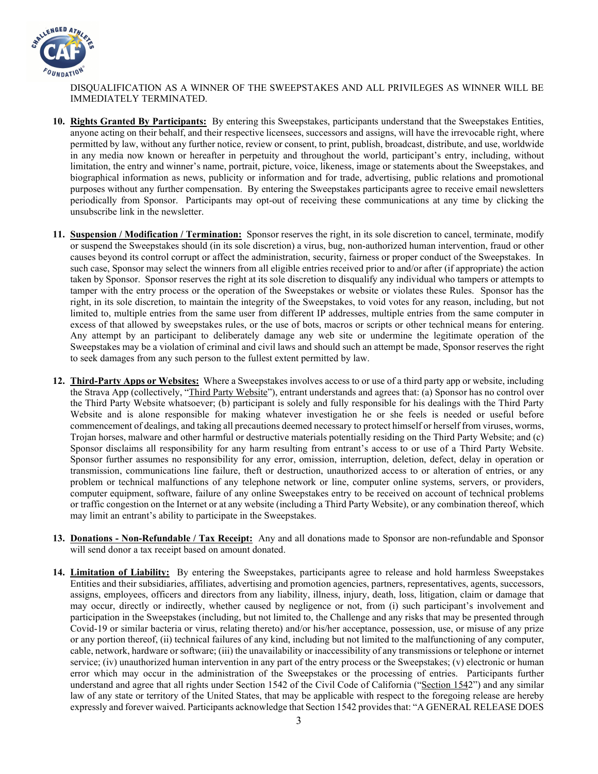

DISQUALIFICATION AS A WINNER OF THE SWEEPSTAKES AND ALL PRIVILEGES AS WINNER WILL BE IMMEDIATELY TERMINATED.

- **10. Rights Granted By Participants:** By entering this Sweepstakes, participants understand that the Sweepstakes Entities, anyone acting on their behalf, and their respective licensees, successors and assigns, will have the irrevocable right, where permitted by law, without any further notice, review or consent, to print, publish, broadcast, distribute, and use, worldwide in any media now known or hereafter in perpetuity and throughout the world, participant's entry, including, without limitation, the entry and winner's name, portrait, picture, voice, likeness, image or statements about the Sweepstakes, and biographical information as news, publicity or information and for trade, advertising, public relations and promotional purposes without any further compensation. By entering the Sweepstakes participants agree to receive email newsletters periodically from Sponsor. Participants may opt-out of receiving these communications at any time by clicking the unsubscribe link in the newsletter.
- **11. Suspension / Modification / Termination:** Sponsor reserves the right, in its sole discretion to cancel, terminate, modify or suspend the Sweepstakes should (in its sole discretion) a virus, bug, non-authorized human intervention, fraud or other causes beyond its control corrupt or affect the administration, security, fairness or proper conduct of the Sweepstakes. In such case, Sponsor may select the winners from all eligible entries received prior to and/or after (if appropriate) the action taken by Sponsor. Sponsor reserves the right at its sole discretion to disqualify any individual who tampers or attempts to tamper with the entry process or the operation of the Sweepstakes or website or violates these Rules. Sponsor has the right, in its sole discretion, to maintain the integrity of the Sweepstakes, to void votes for any reason, including, but not limited to, multiple entries from the same user from different IP addresses, multiple entries from the same computer in excess of that allowed by sweepstakes rules, or the use of bots, macros or scripts or other technical means for entering. Any attempt by an participant to deliberately damage any web site or undermine the legitimate operation of the Sweepstakes may be a violation of criminal and civil laws and should such an attempt be made, Sponsor reserves the right to seek damages from any such person to the fullest extent permitted by law.
- **12. Third-Party Apps or Websites:** Where a Sweepstakes involves access to or use of a third party app or website, including the Strava App (collectively, "Third Party Website"), entrant understands and agrees that: (a) Sponsor has no control over the Third Party Website whatsoever; (b) participant is solely and fully responsible for his dealings with the Third Party Website and is alone responsible for making whatever investigation he or she feels is needed or useful before commencement of dealings, and taking all precautions deemed necessary to protect himself or herself from viruses, worms, Trojan horses, malware and other harmful or destructive materials potentially residing on the Third Party Website; and (c) Sponsor disclaims all responsibility for any harm resulting from entrant's access to or use of a Third Party Website. Sponsor further assumes no responsibility for any error, omission, interruption, deletion, defect, delay in operation or transmission, communications line failure, theft or destruction, unauthorized access to or alteration of entries, or any problem or technical malfunctions of any telephone network or line, computer online systems, servers, or providers, computer equipment, software, failure of any online Sweepstakes entry to be received on account of technical problems or traffic congestion on the Internet or at any website (including a Third Party Website), or any combination thereof, which may limit an entrant's ability to participate in the Sweepstakes.
- **13. Donations - Non-Refundable / Tax Receipt:** Any and all donations made to Sponsor are non-refundable and Sponsor will send donor a tax receipt based on amount donated.
- **14. Limitation of Liability:** By entering the Sweepstakes, participants agree to release and hold harmless Sweepstakes Entities and their subsidiaries, affiliates, advertising and promotion agencies, partners, representatives, agents, successors, assigns, employees, officers and directors from any liability, illness, injury, death, loss, litigation, claim or damage that may occur, directly or indirectly, whether caused by negligence or not, from (i) such participant's involvement and participation in the Sweepstakes (including, but not limited to, the Challenge and any risks that may be presented through Covid-19 or similar bacteria or virus, relating thereto) and/or his/her acceptance, possession, use, or misuse of any prize or any portion thereof, (ii) technical failures of any kind, including but not limited to the malfunctioning of any computer, cable, network, hardware or software; (iii) the unavailability or inaccessibility of any transmissions or telephone or internet service; (iv) unauthorized human intervention in any part of the entry process or the Sweepstakes; (v) electronic or human error which may occur in the administration of the Sweepstakes or the processing of entries. Participants further understand and agree that all rights under Section 1542 of the Civil Code of California ("Section 1542") and any similar law of any state or territory of the United States, that may be applicable with respect to the foregoing release are hereby expressly and forever waived. Participants acknowledge that Section 1542 provides that: "A GENERAL RELEASE DOES